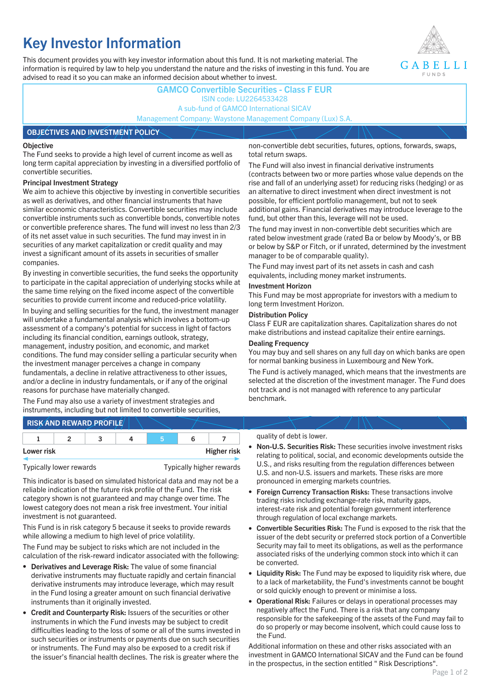# **Key Investor Information**

This document provides you with key investor information about this fund. It is not marketing material. The information is required by law to help you understand the nature and the risks of investing in this fund. You are advised to read it so you can make an informed decision about whether to invest.



### **GAMCO Convertible Securities - Class F EUR** ISIN code: LU2264533428 A sub-fund of GAMCO International SICAV Management Company: Waystone Management Company (Lux) S.A.

#### **OBJECTIVES AND INVESTMENT POLICY**

#### **Objective**

The Fund seeks to provide a high level of current income as well as long term capital appreciation by investing in a diversified portfolio of convertible securities.

#### **Principal Investment Strategy**

We aim to achieve this objective by investing in convertible securities as well as derivatives, and other financial instruments that have similar economic characteristics. Convertible securities may include convertible instruments such as convertible bonds, convertible notes or convertible preference shares. The fund will invest no less than 2/3 of its net asset value in such securities. The fund may invest in in securities of any market capitalization or credit quality and may invest a significant amount of its assets in securities of smaller companies.

By investing in convertible securities, the fund seeks the opportunity to participate in the capital appreciation of underlying stocks while at the same time relying on the fixed income aspect of the convertible securities to provide current income and reduced-price volatility.

In buying and selling securities for the fund, the investment manager will undertake a fundamental analysis which involves a bottom-up assessment of a company's potential for success in light of factors including its financial condition, earnings outlook, strategy, management, industry position, and economic, and market conditions. The fund may consider selling a particular security when the investment manager perceives a change in company fundamentals, a decline in relative attractiveness to other issues, and/or a decline in industry fundamentals, or if any of the original reasons for purchase have materially changed.

The Fund may also use a variety of investment strategies and instruments, including but not limited to convertible securities, non-convertible debt securities, futures, options, forwards, swaps, total return swaps.

The Fund will also invest in financial derivative instruments (contracts between two or more parties whose value depends on the rise and fall of an underlying asset) for reducing risks (hedging) or as an alternative to direct investment when direct investment is not possible, for efficient portfolio management, but not to seek additional gains. Financial derivatives may introduce leverage to the fund, but other than this, leverage will not be used.

The fund may invest in non-convertible debt securities which are rated below investment grade (rated Ba or below by Moody's, or BB or below by S&P or Fitch, or if unrated, determined by the investment manager to be of comparable quality).

The Fund may invest part of its net assets in cash and cash equivalents, including money market instruments.

#### **Investment Horizon**

This Fund may be most appropriate for investors with a medium to long term Investment Horizon.

#### **Distribution Policy**

Class F EUR are capitalization shares. Capitalization shares do not make distributions and instead capitalize their entire earnings.

#### **Dealing Frequency**

You may buy and sell shares on any full day on which banks are open for normal banking business in Luxembourg and New York.

The Fund is actively managed, which means that the investments are selected at the discretion of the investment manager. The Fund does not track and is not managed with reference to any particular benchmark.

## **RISK AND REWARD PROFILE**

|            |  | ∽ |  |                    |
|------------|--|---|--|--------------------|
| Lower risk |  |   |  | <b>Higher risk</b> |

This indicator is based on simulated historical data and may not be a reliable indication of the future risk profile of the Fund. The risk category shown is not guaranteed and may change over time. The lowest category does not mean a risk free investment. Your initial investment is not guaranteed.

This Fund is in risk category 5 because it seeks to provide rewards while allowing a medium to high level of price volatility.

The Fund may be subject to risks which are not included in the calculation of the risk-reward indicator associated with the following:

- **Derivatives and Leverage Risk:** The value of some financial derivative instruments may fluctuate rapidly and certain financial derivative instruments may introduce leverage, which may result in the Fund losing a greater amount on such financial derivative instruments than it originally invested.
- **Credit and Counterparty Risk:** Issuers of the securities or other instruments in which the Fund invests may be subject to credit difficulties leading to the loss of some or all of the sums invested in such securities or instruments or payments due on such securities or instruments. The Fund may also be exposed to a credit risk if the issuer's financial health declines. The risk is greater where the

#### quality of debt is lower.

- **Non-U.S. Securities Risk:** These securities involve investment risks relating to political, social, and economic developments outside the U.S., and risks resulting from the regulation differences between U.S. and non-U.S. issuers and markets. These risks are more pronounced in emerging markets countries.
- **Foreign Currency Transaction Risks:** These transactions involve trading risks including exchange-rate risk, maturity gaps, interest-rate risk and potential foreign government interference through regulation of local exchange markets.
- **Convertible Securities Risk:** The Fund is exposed to the risk that the issuer of the debt security or preferred stock portion of a Convertible Security may fail to meet its obligations, as well as the performance associated risks of the underlying common stock into which it can be converted.
- **Liquidity Risk:** The Fund may be exposed to liquidity risk where, due to a lack of marketability, the Fund's investments cannot be bought or sold quickly enough to prevent or minimise a loss.
- **Operational Risk:** Failures or delays in operational processes may negatively affect the Fund. There is a risk that any company responsible for the safekeeping of the assets of the Fund may fail to do so properly or may become insolvent, which could cause loss to the Fund.

Additional information on these and other risks associated with an investment in GAMCO International SICAV and the Fund can be found in the prospectus, in the section entitled " Risk Descriptions".

Typically lower rewards Typically higher rewards